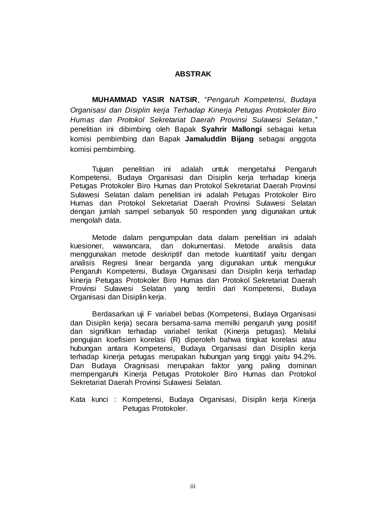## **ABSTRAK**

**MUHAMMAD YASIR NATSIR**, "*Pengaruh Kompetensi, Budaya Organisasi dan Disiplin kerja Terhadap Kinerja Petugas Protokoler Biro Humas dan Protokol Sekretariat Daerah Provinsi Sulawesi Selatan,"* penelitian ini dibimbing oleh Bapak **Syahrir Mallongi** sebagai ketua komisi pembimbing dan Bapak **Jamaluddin Bijang** sebagai anggota komisi pembimbing.

Tujuan penelitian ini adalah untuk mengetahui Pengaruh Kompetensi, Budaya Organisasi dan Disiplin kerja terhadap kinerja Petugas Protokoler Biro Humas dan Protokol Sekretariat Daerah Provinsi Sulawesi Selatan dalam penelitian ini adalah Petugas Protokoler Biro Humas dan Protokol Sekretariat Daerah Provinsi Sulawesi Selatan dengan jumlah sampel sebanyak 50 responden yang digunakan untuk mengolah data.

Metode dalam pengumpulan data dalam penelitian ini adalah kuesioner, wawancara, dan dokumentasi. Metode analisis data menggunakan metode deskriptif dan metode kuantitatif yaitu dengan analisis Regresi linear berganda yang digunakan untuk mengukur Pengaruh Kompetensi, Budaya Organisasi dan Disiplin kerja terhadap kinerja Petugas Protokoler Biro Humas dan Protokol Sekretariat Daerah Provinsi Sulawesi Selatan yang terdiri dari Kompetensi, Budaya Organisasi dan Disiplin kerja.

Berdasarkan uji F variabel bebas (Kompetensi, Budaya Organisasi dan Disiplin kerja) secara bersama-sama memilki pengaruh yang positif dan signifikan terhadap variabel terikat (Kinerja petugas). Melalui pengujian koefisien korelasi (R) diperoleh bahwa tingkat korelasi atau hubungan antara Kompetensi, Budaya Organisasi dan Disiplin kerja terhadap kinerja petugas merupakan hubungan yang tinggi yaitu 94.2%. Dan Budaya Oragnisasi merupakan faktor yang paling dominan mempengaruhi Kinerja Petugas Protokoler Biro Humas dan Protokol Sekretariat Daerah Provinsi Sulawesi Selatan.

Kata kunci : Kompetensi, Budaya Organisasi, Disiplin kerja Kinerja Petugas Protokoler.